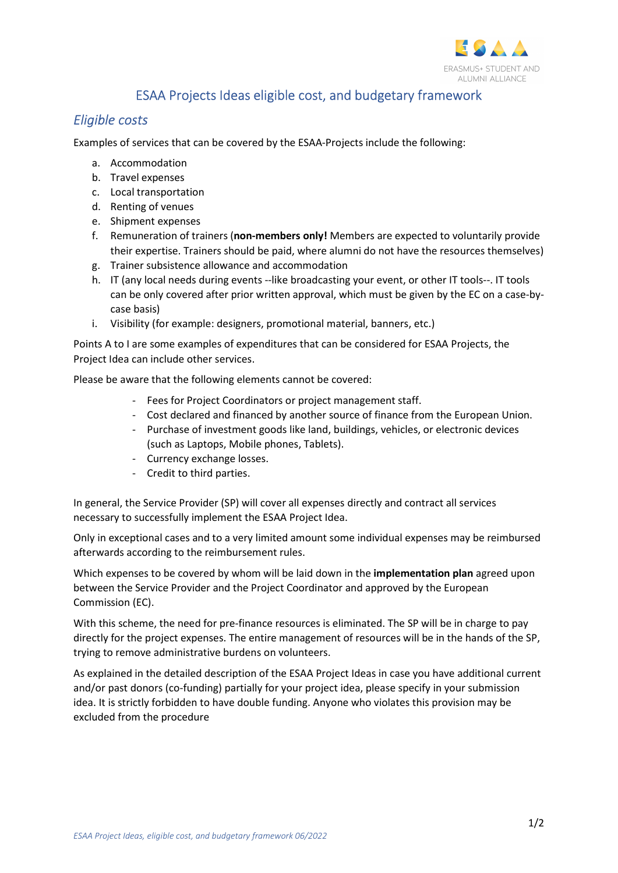

## ESAA Projects Ideas eligible cost, and budgetary framework

## Eligible costs

Examples of services that can be covered by the ESAA-Projects include the following:

- a. Accommodation
- b. Travel expenses
- c. Local transportation
- d. Renting of venues
- e. Shipment expenses
- f. Remuneration of trainers (non-members only! Members are expected to voluntarily provide their expertise. Trainers should be paid, where alumni do not have the resources themselves)
- g. Trainer subsistence allowance and accommodation
- h. IT (any local needs during events --like broadcasting your event, or other IT tools--. IT tools can be only covered after prior written approval, which must be given by the EC on a case-bycase basis)
- i. Visibility (for example: designers, promotional material, banners, etc.)

Points A to I are some examples of expenditures that can be considered for ESAA Projects, the Project Idea can include other services.

Please be aware that the following elements cannot be covered:

- Fees for Project Coordinators or project management staff.
- Cost declared and financed by another source of finance from the European Union.
- Purchase of investment goods like land, buildings, vehicles, or electronic devices (such as Laptops, Mobile phones, Tablets).
- Currency exchange losses.
- Credit to third parties.

In general, the Service Provider (SP) will cover all expenses directly and contract all services necessary to successfully implement the ESAA Project Idea.

Only in exceptional cases and to a very limited amount some individual expenses may be reimbursed afterwards according to the reimbursement rules.

Which expenses to be covered by whom will be laid down in the **implementation plan** agreed upon between the Service Provider and the Project Coordinator and approved by the European Commission (EC).

With this scheme, the need for pre-finance resources is eliminated. The SP will be in charge to pay directly for the project expenses. The entire management of resources will be in the hands of the SP, trying to remove administrative burdens on volunteers.

As explained in the detailed description of the ESAA Project Ideas in case you have additional current and/or past donors (co-funding) partially for your project idea, please specify in your submission idea. It is strictly forbidden to have double funding. Anyone who violates this provision may be excluded from the procedure